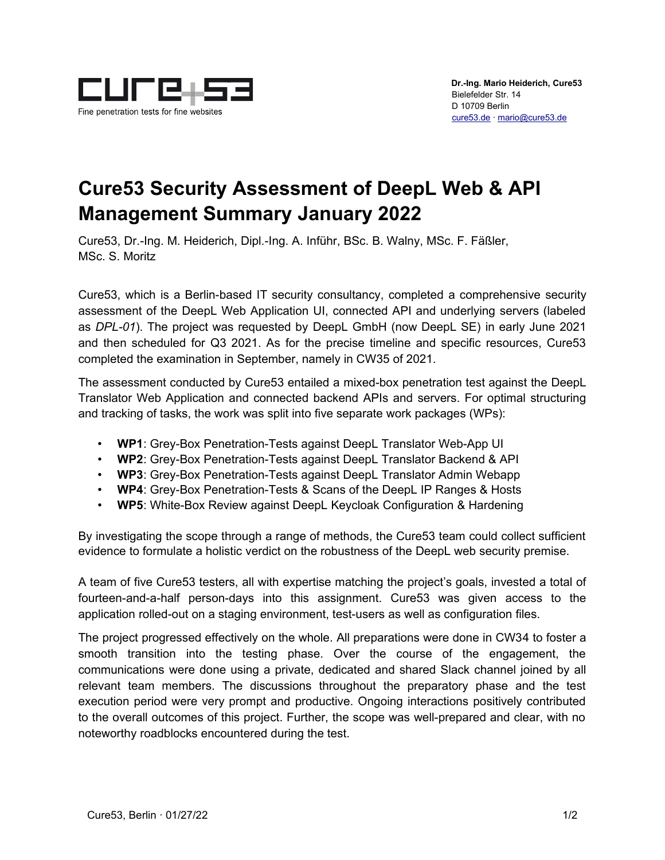

## **Cure53 Security Assessment of DeepL Web & API Management Summary January 2022**

Cure53, Dr.-Ing. M. Heiderich, Dipl.-Ing. A. Inführ, BSc. B. Walny, MSc. F. Fäßler, MSc. S. Moritz

Cure53, which is a Berlin-based IT security consultancy, completed a comprehensive security assessment of the DeepL Web Application UI, connected API and underlying servers (labeled as *DPL-01*). The project was requested by DeepL GmbH (now DeepL SE) in early June 2021 and then scheduled for Q3 2021. As for the precise timeline and specific resources, Cure53 completed the examination in September, namely in CW35 of 2021.

The assessment conducted by Cure53 entailed a mixed-box penetration test against the DeepL Translator Web Application and connected backend APIs and servers. For optimal structuring and tracking of tasks, the work was split into five separate work packages (WPs):

- **WP1**: Grey-Box Penetration-Tests against DeepL Translator Web-App UI
- **WP2**: Grey-Box Penetration-Tests against DeepL Translator Backend & API
- **WP3**: Grey-Box Penetration-Tests against DeepL Translator Admin Webapp
- **WP4**: Grey-Box Penetration-Tests & Scans of the DeepL IP Ranges & Hosts
- **WP5**: White-Box Review against DeepL Keycloak Configuration & Hardening

By investigating the scope through a range of methods, the Cure53 team could collect sufficient evidence to formulate a holistic verdict on the robustness of the DeepL web security premise.

A team of five Cure53 testers, all with expertise matching the project's goals, invested a total of fourteen-and-a-half person-days into this assignment. Cure53 was given access to the application rolled-out on a staging environment, test-users as well as configuration files.

The project progressed effectively on the whole. All preparations were done in CW34 to foster a smooth transition into the testing phase. Over the course of the engagement, the communications were done using a private, dedicated and shared Slack channel joined by all relevant team members. The discussions throughout the preparatory phase and the test execution period were very prompt and productive. Ongoing interactions positively contributed to the overall outcomes of this project. Further, the scope was well-prepared and clear, with no noteworthy roadblocks encountered during the test.